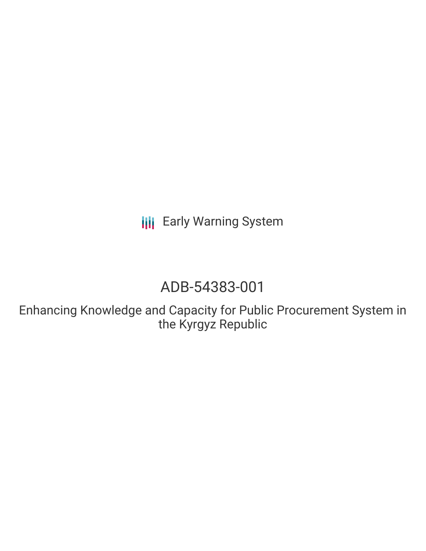**III** Early Warning System

# ADB-54383-001

Enhancing Knowledge and Capacity for Public Procurement System in the Kyrgyz Republic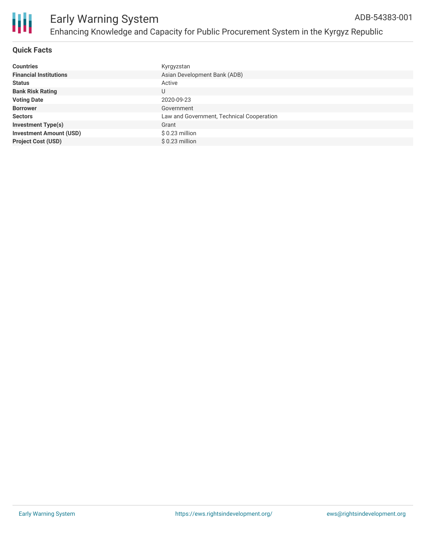

# **Quick Facts**

| <b>Countries</b>               | Kyrgyzstan                                |
|--------------------------------|-------------------------------------------|
| <b>Financial Institutions</b>  | Asian Development Bank (ADB)              |
| <b>Status</b>                  | Active                                    |
| <b>Bank Risk Rating</b>        | U                                         |
| <b>Voting Date</b>             | 2020-09-23                                |
| <b>Borrower</b>                | Government                                |
| <b>Sectors</b>                 | Law and Government, Technical Cooperation |
| <b>Investment Type(s)</b>      | Grant                                     |
| <b>Investment Amount (USD)</b> | $$0.23$ million                           |
| <b>Project Cost (USD)</b>      | $$0.23$ million                           |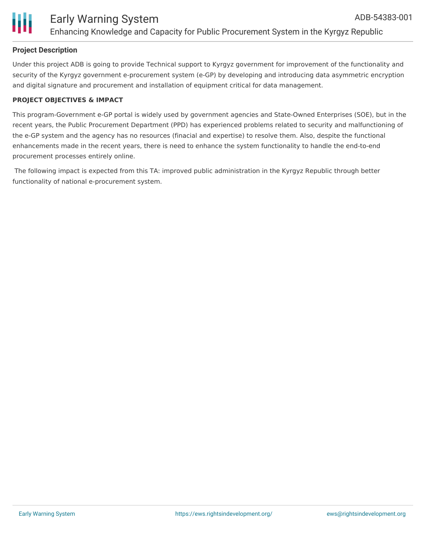

# **Project Description**

Under this project ADB is going to provide Technical support to Kyrgyz government for improvement of the functionality and security of the Kyrgyz government e-procurement system (e-GP) by developing and introducing data asymmetric encryption and digital signature and procurement and installation of equipment critical for data management.

#### **PROJECT OBJECTIVES & IMPACT**

This program-Government e-GP portal is widely used by government agencies and State-Owned Enterprises (SOE), but in the recent years, the Public Procurement Department (PPD) has experienced problems related to security and malfunctioning of the e-GP system and the agency has no resources (finacial and expertise) to resolve them. Also, despite the functional enhancements made in the recent years, there is need to enhance the system functionality to handle the end-to-end procurement processes entirely online.

The following impact is expected from this TA: improved public administration in the Kyrgyz Republic through better functionality of national e-procurement system.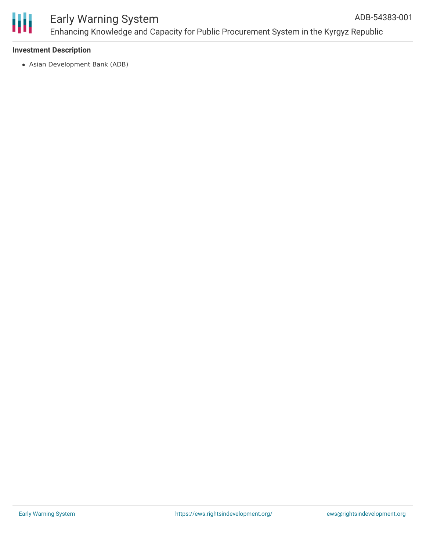

## Early Warning System Enhancing Knowledge and Capacity for Public Procurement System in the Kyrgyz Republic ADB-54383-001

# **Investment Description**

Asian Development Bank (ADB)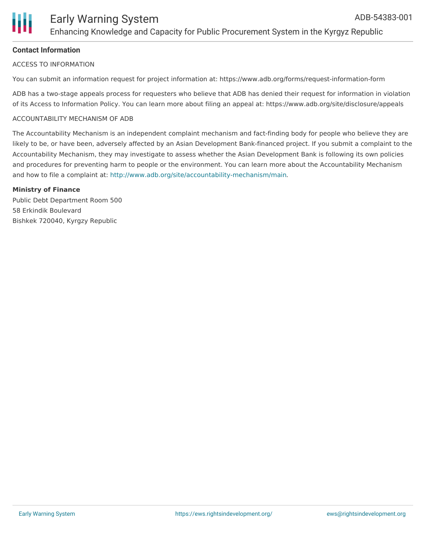# **Contact Information**

#### ACCESS TO INFORMATION

You can submit an information request for project information at: https://www.adb.org/forms/request-information-form

ADB has a two-stage appeals process for requesters who believe that ADB has denied their request for information in violation of its Access to Information Policy. You can learn more about filing an appeal at: https://www.adb.org/site/disclosure/appeals

#### ACCOUNTABILITY MECHANISM OF ADB

The Accountability Mechanism is an independent complaint mechanism and fact-finding body for people who believe they are likely to be, or have been, adversely affected by an Asian Development Bank-financed project. If you submit a complaint to the Accountability Mechanism, they may investigate to assess whether the Asian Development Bank is following its own policies and procedures for preventing harm to people or the environment. You can learn more about the Accountability Mechanism and how to file a complaint at: <http://www.adb.org/site/accountability-mechanism/main>.

#### **Ministry of Finance**

Public Debt Department Room 500 58 Erkindik Boulevard Bishkek 720040, Kyrgzy Republic